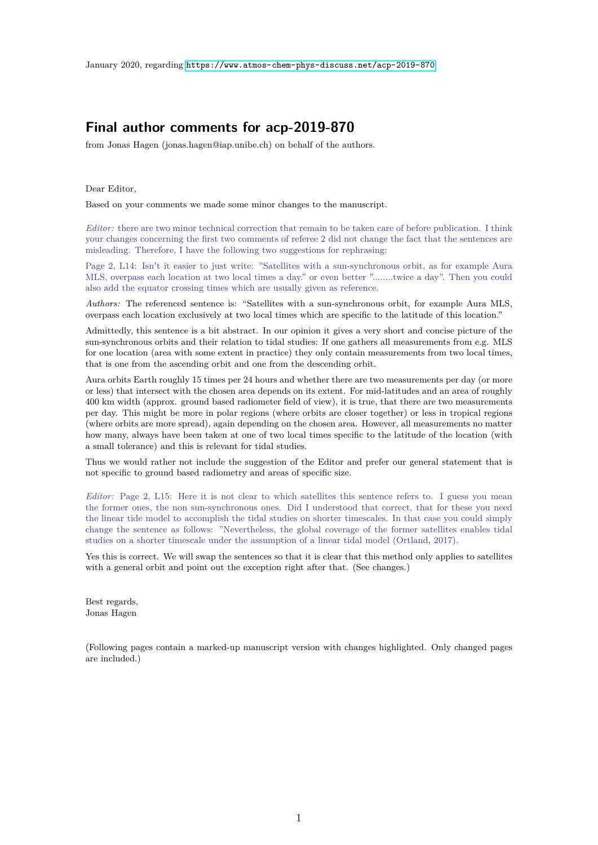## **Final author comments for acp-2019-870**

from Jonas Hagen (jonas.hagen@iap.unibe.ch) on behalf of the authors.

Dear Editor,

Based on your comments we made some minor changes to the manuscript.

*Editor:* there are two minor technical correction that remain to be taken care of before publication. I think your changes concerning the first two comments of referee 2 did not change the fact that the sentences are misleading. Therefore, I have the following two suggestions for rephrasing:

Page 2, L14: Isn't it easier to just write: "Satellites with a sun-synchronous orbit, as for example Aura MLS, overpass each location at two local times a day." or even better "........twice a day". Then you could also add the equator crossing times which are usually given as reference.

*Authors:* The referenced sentence is: "Satellites with a sun-synchronous orbit, for example Aura MLS, overpass each location exclusively at two local times which are specific to the latitude of this location."

Admittedly, this sentence is a bit abstract. In our opinion it gives a very short and concise picture of the sun-synchronous orbits and their relation to tidal studies: If one gathers all measurements from e.g. MLS for one location (area with some extent in practice) they only contain measurements from two local times, that is one from the ascending orbit and one from the descending orbit.

Aura orbits Earth roughly 15 times per 24 hours and whether there are two measurements per day (or more or less) that intersect with the chosen area depends on its extent. For mid-latitudes and an area of roughly 400 km width (approx. ground based radiometer field of view), it is true, that there are two measurements per day. This might be more in polar regions (where orbits are closer together) or less in tropical regions (where orbits are more spread), again depending on the chosen area. However, all measurements no matter how many, always have been taken at one of two local times specific to the latitude of the location (with a small tolerance) and this is relevant for tidal studies.

Thus we would rather not include the suggestion of the Editor and prefer our general statement that is not specific to ground based radiometry and areas of specific size.

*Editor:* Page 2, L15: Here it is not clear to which satellites this sentence refers to. I guess you mean the former ones, the non sun-synchronous ones. Did I understood that correct, that for these you need the linear tide model to accomplish the tidal studies on shorter timescales. In that case you could simply change the sentence as follows: "Nevertheless, the global coverage of the former satellites enables tidal studies on a shorter timescale under the assumption of a linear tidal model (Ortland, 2017).

Yes this is correct. We will swap the sentences so that it is clear that this method only applies to satellites with a general orbit and point out the exception right after that. (See changes.)

Best regards, Jonas Hagen

(Following pages contain a marked-up manuscript version with changes highlighted. Only changed pages are included.)